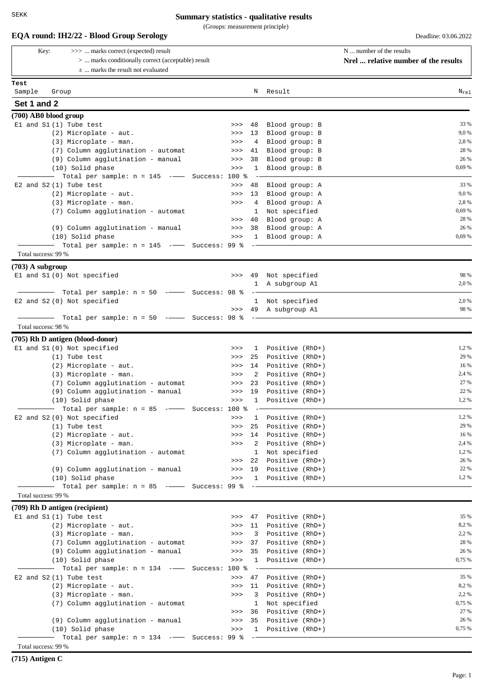(Groups: measurement principle)

| >>>  marks correct (expected) result<br>Key:                      |          |                         |                                                 | N  number of the results             |
|-------------------------------------------------------------------|----------|-------------------------|-------------------------------------------------|--------------------------------------|
| >  marks conditionally correct (acceptable) result                |          |                         |                                                 | Nrel  relative number of the results |
| $\pm$ marks the result not evaluated                              |          |                         |                                                 |                                      |
| Test                                                              |          |                         |                                                 |                                      |
| Sample<br>Group                                                   |          |                         | N Result                                        | $N_{re1}$                            |
| Set 1 and 2                                                       |          |                         |                                                 |                                      |
|                                                                   |          |                         |                                                 |                                      |
| (700) AB0 blood group<br>El and S1 (1) Tube test                  | >>       | 48                      | Blood group: B                                  | 33 %                                 |
| (2) Microplate - aut.                                             | >>       | 13                      | Blood group: B                                  | 9,0 %                                |
| (3) Microplate - man.                                             | >>       | 4                       | Blood group: B                                  | 2,8 %                                |
| (7) Column agglutination - automat                                | >>       | 41                      | Blood group: B                                  | 28 %                                 |
| (9) Column agglutination - manual                                 | >>       | 38                      | Blood group: B                                  | 26 %                                 |
| (10) Solid phase                                                  | >>       | $\mathbf{1}$            | Blood group: B                                  | 0,69 %                               |
| Total per sample: $n = 145$ -- Success: 100 %                     |          |                         |                                                 |                                      |
| E2 and $S2(1)$ Tube test                                          | >>       | 48                      | Blood group: A                                  | 33 %                                 |
| (2) Microplate - aut.                                             | >>       |                         | 13 Blood group: A                               | 9,0 %                                |
| (3) Microplate - man.                                             | >>       | 4                       | Blood group: A                                  | 2,8 %                                |
| (7) Column agglutination - automat                                |          | $\mathbf{1}$            | Not specified                                   | 0,69 %                               |
|                                                                   | >>>      | 40                      | Blood group: A                                  | 28 %                                 |
| (9) Column agglutination - manual                                 | >>>      | 38                      | Blood group: A<br>1 Blood group: A              | 26 %<br>0,69 %                       |
| (10) Solid phase<br>Total per sample: n = 145 ----- Success: 99 % | >>       |                         |                                                 |                                      |
| Total success: 99 %                                               |          |                         |                                                 |                                      |
|                                                                   |          |                         |                                                 |                                      |
| $(703)$ A subgroup                                                |          |                         |                                                 | 98 %                                 |
| El and S1 (0) Not specified                                       |          | $\mathbf{1}$            | >>> 49 Not specified<br>A subgroup Al           | 2,0 %                                |
| - Total per sample: n = 50 --- Success: 98 %                      |          |                         |                                                 |                                      |
| E2 and S2 (0) Not specified                                       |          |                         | 1 Not specified                                 | 2,0 %                                |
|                                                                   |          |                         | >>> 49 A subgroup A1                            | 98 %                                 |
| Total per sample: $n = 50$ -- Success: 98 %                       |          |                         |                                                 |                                      |
| Total success: 98 %                                               |          |                         |                                                 |                                      |
| (705) Rh D antigen (blood-donor)                                  |          |                         |                                                 |                                      |
| El and S1 (0) Not specified                                       | >>       | $\mathbf{1}$            | Positive (RhD+)                                 | 1,2 %                                |
| $(1)$ Tube test                                                   | >>       | 25                      | Positive (RhD+)                                 | 29 %                                 |
| (2) Microplate - aut.                                             | >>       | 14                      | Positive (RhD+)                                 | 16 %                                 |
| (3) Microplate - man.                                             | >>       | 2                       | Positive (RhD+)                                 | 2,4 %                                |
| (7) Column agglutination - automat                                | >>       | 23                      | Positive (RhD+)                                 | 27 %                                 |
| (9) Column agglutination - manual                                 | 19<br>>> |                         | Positive (RhD+)                                 | 22 %                                 |
| (10) Solid phase                                                  | >>> 1    |                         | Positive (RhD+)                                 | 1,2%                                 |
| - Total per sample: n = 85 ---- Success: 100 %                    |          | $\sim$                  |                                                 |                                      |
| E2 and S2 (0) Not specified                                       | >>       | $\mathbf{1}$            | Positive (RhD+)                                 | 1,2%                                 |
| $(1)$ Tube test                                                   | >>       | 25                      | Positive (RhD+)                                 | 29 %                                 |
| (2) Microplate - aut.                                             | >>       | $\overline{2}$          | 14 Positive (RhD+)                              | 16 %<br>2,4 %                        |
| (3) Microplate - man.<br>(7) Column agglutination - automat       | >>       | 1                       | Positive (RhD+)<br>Not specified                | 1,2 %                                |
|                                                                   |          |                         | >>> 22 Positive (RhD+)                          | 26 %                                 |
|                                                                   |          |                         |                                                 |                                      |
|                                                                   |          |                         |                                                 | 22 %                                 |
| (9) Column agglutination - manual<br>(10) Solid phase             |          |                         | >>> 19 Positive (RhD+)<br>>>> 1 Positive (RhD+) | 1,2 %                                |
|                                                                   |          |                         |                                                 |                                      |
| Total success: 99 %                                               |          |                         |                                                 |                                      |
|                                                                   |          |                         |                                                 |                                      |
| (709) Rh D antigen (recipient)<br>$E1$ and $S1(1)$ Tube test      |          |                         | >>> 47 Positive (RhD+)                          | 35 %                                 |
| (2) Microplate - aut.                                             | >>       |                         | 11 Positive (RhD+)                              | 8,2%                                 |
| (3) Microplate - man.                                             | >>       | $\overline{\mathbf{3}}$ | Positive (RhD+)                                 | 2,2 %                                |
| (7) Column agglutination - automat                                | >>>      | 37                      | Positive (RhD+)                                 | 28 %                                 |
| (9) Column agglutination - manual                                 | >>>      | 35                      | Positive (RhD+)                                 | 26 %                                 |
| (10) Solid phase                                                  | >>       | $\mathbf{1}$            | Positive (RhD+)                                 | 0,75 %                               |
| Total per sample: $n = 134$ -- Success: 100 %                     |          | $\sim$ $\sim$           |                                                 |                                      |
| E2 and $S2(1)$ Tube test                                          | >>       | 47                      | Positive (RhD+)                                 | 35 %                                 |
| (2) Microplate - aut.                                             | >>       | 11                      | Positive (RhD+)                                 | 8,2%                                 |
| (3) Microplate - man.                                             | >>       | 3                       | Positive (RhD+)                                 | 2,2 %                                |
| (7) Column agglutination - automat                                |          |                         | 1 Not specified                                 | 0,75 %                               |
|                                                                   |          |                         | >>> 36 Positive (RhD+)                          | 27 %<br>26 %                         |
| (9) Column agglutination - manual<br>(10) Solid phase             |          |                         | >>> 35 Positive (RhD+)<br>>>> 1 Positive (RhD+) | 0,75 %                               |

**(715) Antigen C**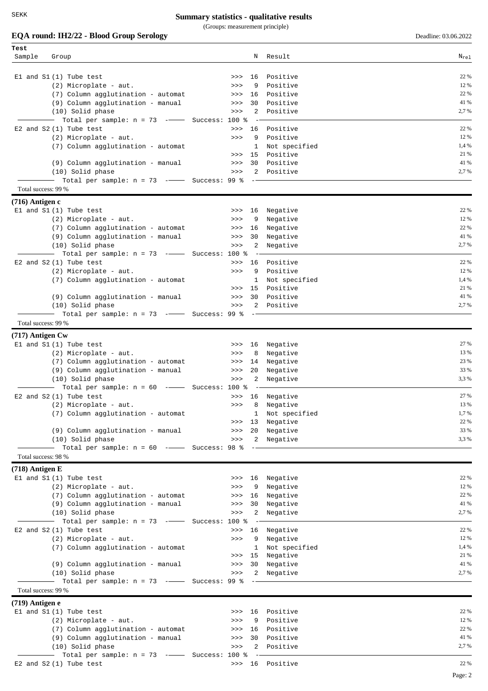(Groups: measurement principle)

| Test                |                                                    |          |                                                                                                                                                                                                                                                                                                                                                                                                                                                                            |                 |           |
|---------------------|----------------------------------------------------|----------|----------------------------------------------------------------------------------------------------------------------------------------------------------------------------------------------------------------------------------------------------------------------------------------------------------------------------------------------------------------------------------------------------------------------------------------------------------------------------|-----------------|-----------|
| Sample              | Group                                              |          |                                                                                                                                                                                                                                                                                                                                                                                                                                                                            | N Result        | $N_{re1}$ |
|                     |                                                    |          |                                                                                                                                                                                                                                                                                                                                                                                                                                                                            |                 |           |
|                     |                                                    |          |                                                                                                                                                                                                                                                                                                                                                                                                                                                                            |                 |           |
|                     | $E1$ and $S1(1)$ Tube test                         | >>       | 16                                                                                                                                                                                                                                                                                                                                                                                                                                                                         | Positive        | 22 %      |
|                     | (2) Microplate - aut.                              | >>       | 9                                                                                                                                                                                                                                                                                                                                                                                                                                                                          | Positive        | 12 %      |
|                     | (7) Column agglutination - automat                 | >>       | 16                                                                                                                                                                                                                                                                                                                                                                                                                                                                         | Positive        | 22 %      |
|                     | (9) Column agglutination - manual                  | >>       | 30                                                                                                                                                                                                                                                                                                                                                                                                                                                                         | Positive        | 41 %      |
|                     | (10) Solid phase                                   | >>       | 2                                                                                                                                                                                                                                                                                                                                                                                                                                                                          | Positive        | 2,7 %     |
|                     | Total per sample: $n = 73$ -- Success: 100 %       |          |                                                                                                                                                                                                                                                                                                                                                                                                                                                                            |                 |           |
|                     | E2 and $S2(1)$ Tube test                           | >>       | 16                                                                                                                                                                                                                                                                                                                                                                                                                                                                         | Positive        | 22 %      |
|                     | (2) Microplate - aut.                              | >>       | 9                                                                                                                                                                                                                                                                                                                                                                                                                                                                          | Positive        | 12 %      |
|                     | (7) Column agglutination - automat                 |          | 1                                                                                                                                                                                                                                                                                                                                                                                                                                                                          | Not specified   | 1,4 %     |
|                     |                                                    | >>       | 15                                                                                                                                                                                                                                                                                                                                                                                                                                                                         | Positive        | 21 %      |
|                     | (9) Column agglutination - manual                  | >>       | 30                                                                                                                                                                                                                                                                                                                                                                                                                                                                         | Positive        | 41 %      |
|                     | (10) Solid phase                                   | >>       | 2                                                                                                                                                                                                                                                                                                                                                                                                                                                                          | Positive        | 2,7 %     |
|                     | Total per sample: $n = 73$ -- Success: 99 %        |          |                                                                                                                                                                                                                                                                                                                                                                                                                                                                            |                 |           |
| Total success: 99 % |                                                    |          |                                                                                                                                                                                                                                                                                                                                                                                                                                                                            |                 |           |
|                     |                                                    |          |                                                                                                                                                                                                                                                                                                                                                                                                                                                                            |                 |           |
| $(716)$ Antigen c   |                                                    |          |                                                                                                                                                                                                                                                                                                                                                                                                                                                                            |                 |           |
|                     | El and S1 (1) Tube test                            | >>>      | 16                                                                                                                                                                                                                                                                                                                                                                                                                                                                         | Negative        | 22 %      |
|                     | (2) Microplate - aut.                              | >>       | 9                                                                                                                                                                                                                                                                                                                                                                                                                                                                          | Negative        | 12 %      |
|                     | (7) Column agglutination - automat                 | >>       | 16                                                                                                                                                                                                                                                                                                                                                                                                                                                                         | Negative        | 22 %      |
|                     | (9) Column agglutination - manual                  | >>       | 30                                                                                                                                                                                                                                                                                                                                                                                                                                                                         | Negative        | 41 %      |
|                     | (10) Solid phase                                   | >>>      | 2                                                                                                                                                                                                                                                                                                                                                                                                                                                                          | Negative        | 2,7 %     |
|                     | - Total per sample: n = 73 ---- Success: 100 %     |          |                                                                                                                                                                                                                                                                                                                                                                                                                                                                            |                 |           |
|                     |                                                    |          |                                                                                                                                                                                                                                                                                                                                                                                                                                                                            |                 | 22 %      |
|                     | E2 and $S2(1)$ Tube test                           | >>       | 16                                                                                                                                                                                                                                                                                                                                                                                                                                                                         | Positive        |           |
|                     | (2) Microplate - aut.                              | >>       | 9                                                                                                                                                                                                                                                                                                                                                                                                                                                                          | Positive        | 12 %      |
|                     | (7) Column agglutination - automat                 |          | 1                                                                                                                                                                                                                                                                                                                                                                                                                                                                          | Not specified   | 1,4 %     |
|                     |                                                    | >>       | 15                                                                                                                                                                                                                                                                                                                                                                                                                                                                         | Positive        | 21 %      |
|                     | (9) Column agglutination - manual                  | >>>      | 30                                                                                                                                                                                                                                                                                                                                                                                                                                                                         | Positive        | 41 %      |
|                     | (10) Solid phase                                   | >>       | 2                                                                                                                                                                                                                                                                                                                                                                                                                                                                          | Positive        | 2,7 %     |
|                     | Total per sample: $n = 73$ -- Success: 99 %        |          |                                                                                                                                                                                                                                                                                                                                                                                                                                                                            |                 |           |
| Total success: 99 % |                                                    |          |                                                                                                                                                                                                                                                                                                                                                                                                                                                                            |                 |           |
| $(717)$ Antigen Cw  |                                                    |          |                                                                                                                                                                                                                                                                                                                                                                                                                                                                            |                 |           |
|                     |                                                    |          |                                                                                                                                                                                                                                                                                                                                                                                                                                                                            |                 | 27 %      |
|                     | El and S1 (1) Tube test                            | >>       | 16                                                                                                                                                                                                                                                                                                                                                                                                                                                                         | Negative        |           |
|                     | (2) Microplate - aut.                              | >>       | 8                                                                                                                                                                                                                                                                                                                                                                                                                                                                          | Negative        | 13 %      |
|                     | (7) Column agglutination - automat                 | >>>      | 14                                                                                                                                                                                                                                                                                                                                                                                                                                                                         | Negative        | 23 %      |
|                     | (9) Column agglutination - manual                  | >>>      | 20                                                                                                                                                                                                                                                                                                                                                                                                                                                                         | Negative        | 33 %      |
|                     | (10) Solid phase                                   | >>       | 2                                                                                                                                                                                                                                                                                                                                                                                                                                                                          | Negative        | 3,3 %     |
|                     | Total per sample: $n = 60$ -- Success: 100 %       |          |                                                                                                                                                                                                                                                                                                                                                                                                                                                                            |                 |           |
|                     | E2 and $S2(1)$ Tube test                           | >>>      | 16                                                                                                                                                                                                                                                                                                                                                                                                                                                                         | Negative        | 27 %      |
|                     | (2) Microplate - aut.                              | >>>      | 8                                                                                                                                                                                                                                                                                                                                                                                                                                                                          | Negative        | 13 %      |
|                     | (7) Column agglutination - automat                 |          |                                                                                                                                                                                                                                                                                                                                                                                                                                                                            | 1 Not specified | 1,7 %     |
|                     |                                                    | $>>$ 13  |                                                                                                                                                                                                                                                                                                                                                                                                                                                                            | Negative        | 22 %      |
|                     | (9) Column agglutination - manual                  | $>>>$    | 20                                                                                                                                                                                                                                                                                                                                                                                                                                                                         | Negative        | 33 %      |
|                     | (10) Solid phase                                   | >>       |                                                                                                                                                                                                                                                                                                                                                                                                                                                                            | 2 Negative      | 3,3 %     |
|                     | Total per sample: $n = 60$ --------- Success: 98 % |          |                                                                                                                                                                                                                                                                                                                                                                                                                                                                            |                 |           |
| Total success: 98 % |                                                    |          |                                                                                                                                                                                                                                                                                                                                                                                                                                                                            |                 |           |
|                     |                                                    |          |                                                                                                                                                                                                                                                                                                                                                                                                                                                                            |                 |           |
| $(718)$ Antigen E   |                                                    |          |                                                                                                                                                                                                                                                                                                                                                                                                                                                                            |                 |           |
|                     | El and S1 (1) Tube test                            | >>>      |                                                                                                                                                                                                                                                                                                                                                                                                                                                                            | 16 Negative     | 22 %      |
|                     | (2) Microplate - aut.                              | >>       | 9                                                                                                                                                                                                                                                                                                                                                                                                                                                                          | Negative        | 12 %      |
|                     | (7) Column agglutination - automat                 | >>>      | 16                                                                                                                                                                                                                                                                                                                                                                                                                                                                         | Negative        | 22 %      |
|                     | (9) Column agglutination - manual                  | $>>>$    | 30                                                                                                                                                                                                                                                                                                                                                                                                                                                                         | Negative        | 41 %      |
|                     | (10) Solid phase                                   | >>       | $\overline{a}$                                                                                                                                                                                                                                                                                                                                                                                                                                                             | Negative        | 2,7 %     |
|                     | Total per sample: $n = 73$ -- Success: 100 %       |          |                                                                                                                                                                                                                                                                                                                                                                                                                                                                            |                 |           |
|                     |                                                    |          |                                                                                                                                                                                                                                                                                                                                                                                                                                                                            |                 | 22 %      |
|                     | E2 and $S2(1)$ Tube test                           | >>       | 16                                                                                                                                                                                                                                                                                                                                                                                                                                                                         | Negative        |           |
|                     | (2) Microplate - aut.                              | $>>>$    | 9                                                                                                                                                                                                                                                                                                                                                                                                                                                                          | Negative        | 12 %      |
|                     | (7) Column agglutination - automat                 |          | 1                                                                                                                                                                                                                                                                                                                                                                                                                                                                          | Not specified   | 1,4 %     |
|                     |                                                    | $>>$ 15  |                                                                                                                                                                                                                                                                                                                                                                                                                                                                            | Negative        | 21 %      |
|                     | (9) Column agglutination - manual                  | >>       | 30                                                                                                                                                                                                                                                                                                                                                                                                                                                                         | Negative        | 41 %      |
|                     | (10) Solid phase                                   | >>       | $\mathbf{2}$                                                                                                                                                                                                                                                                                                                                                                                                                                                               | Negative        | 2,7 %     |
|                     | Total per sample: $n = 73$ -- Success: 99 %        |          | $\frac{1}{2} \left( \frac{1}{2} \right) \left( \frac{1}{2} \right) \left( \frac{1}{2} \right) \left( \frac{1}{2} \right) \left( \frac{1}{2} \right) \left( \frac{1}{2} \right) \left( \frac{1}{2} \right) \left( \frac{1}{2} \right) \left( \frac{1}{2} \right) \left( \frac{1}{2} \right) \left( \frac{1}{2} \right) \left( \frac{1}{2} \right) \left( \frac{1}{2} \right) \left( \frac{1}{2} \right) \left( \frac{1}{2} \right) \left( \frac{1}{2} \right) \left( \frac$ |                 |           |
| Total success: 99 % |                                                    |          |                                                                                                                                                                                                                                                                                                                                                                                                                                                                            |                 |           |
| $(719)$ Antigen e   |                                                    |          |                                                                                                                                                                                                                                                                                                                                                                                                                                                                            |                 |           |
|                     |                                                    |          |                                                                                                                                                                                                                                                                                                                                                                                                                                                                            |                 | 22 %      |
|                     | El and S1 (1) Tube test                            | >>>      |                                                                                                                                                                                                                                                                                                                                                                                                                                                                            | 16 Positive     |           |
|                     | (2) Microplate - aut.                              | >>       | 9                                                                                                                                                                                                                                                                                                                                                                                                                                                                          | Positive        | 12 %      |
|                     | (7) Column agglutination - automat                 | 16<br>>> |                                                                                                                                                                                                                                                                                                                                                                                                                                                                            | Positive        | 22 %      |
|                     | (9) Column agglutination - manual                  | >>       | 30                                                                                                                                                                                                                                                                                                                                                                                                                                                                         | Positive        | 41 %      |
|                     | (10) Solid phase                                   | >>       | 2                                                                                                                                                                                                                                                                                                                                                                                                                                                                          | Positive        | 2,7 %     |
|                     | - Total per sample: n = 73 ---- Success: 100 %     |          |                                                                                                                                                                                                                                                                                                                                                                                                                                                                            |                 |           |
|                     | E2 and S2 (1) Tube test                            |          |                                                                                                                                                                                                                                                                                                                                                                                                                                                                            | >>> 16 Positive | 22 %      |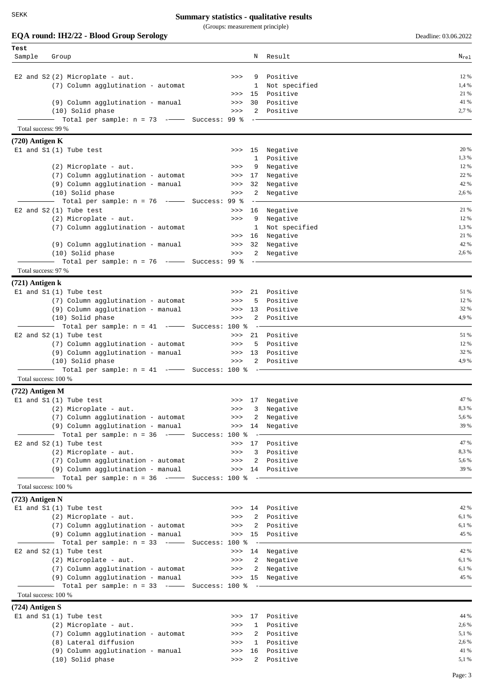SEKK

## **Summary statistics - qualitative results**

(Groups: measurement principle)

| Test<br>Sample       | Group                                                         |             |                    | N Result                      | $N_{re1}$      |
|----------------------|---------------------------------------------------------------|-------------|--------------------|-------------------------------|----------------|
|                      |                                                               |             |                    |                               |                |
|                      | E2 and $S2(2)$ Microplate - aut.                              | >>          | 9                  | Positive                      | 12 %           |
|                      | (7) Column agglutination - automat                            |             | 1                  | Not specified                 | 1,4 %          |
|                      |                                                               | >>          | 15                 | Positive                      | 21 %<br>41 %   |
|                      | (9) Column agglutination - manual<br>(10) Solid phase         | >><br>>>    | 30<br>2            | Positive<br>Positive          | 2,7 %          |
|                      | Total per sample: $n = 73$ -- Success: 99 %                   |             |                    |                               |                |
| Total success: 99 %  |                                                               |             |                    |                               |                |
| $(720)$ Antigen K    |                                                               |             |                    |                               |                |
|                      | $E1$ and $S1(1)$ Tube test                                    | >>          | 15                 | Negative                      | 20 %           |
|                      |                                                               |             | 1                  | Positive                      | 1,3 %<br>12 %  |
|                      | (2) Microplate - aut.<br>(7) Column agglutination - automat   | >><br>>>>   | 9<br>17            | Negative<br>Negative          | 22 %           |
|                      | (9) Column agglutination - manual                             | >>>         | 32                 | Negative                      | 42 %           |
|                      | (10) Solid phase                                              | >>          | 2                  | Negative                      | 2,6 %          |
|                      | Total per sample: $n = 76$ -- Success: 99 %                   |             |                    |                               |                |
|                      | E2 and S2 (1) Tube test                                       | >>          |                    | 16 Negative                   | 21 %           |
|                      | (2) Microplate - aut.<br>(7) Column agglutination - automat   | >>          | 9<br>1             | Negative<br>Not specified     | 12 %<br>1,3 %  |
|                      |                                                               | >>          | 16                 | Negative                      | 21 %           |
|                      | (9) Column agglutination - manual                             | >>>         | 32                 | Negative                      | 42 %           |
|                      | (10) Solid phase                                              | >>>         | $\mathbf{2}$       | Negative                      | 2,6 %          |
|                      | Total per sample: $n = 76$ -- Success: 99 %                   |             |                    |                               |                |
| Total success: 97 %  |                                                               |             |                    |                               |                |
| $(721)$ Antigen k    | El and S1(1) Tube test                                        | >>          | 21                 | Positive                      | 51 %           |
|                      | (7) Column agglutination - automat                            | >>          | 5                  | Positive                      | 12 %           |
|                      | (9) Column agglutination - manual                             | >>          | 13                 | Positive                      | 32 %           |
|                      | (10) Solid phase                                              | >>          | $\overline{a}$     | Positive                      | 4,9%           |
|                      | Total per sample: $n = 41$ -- Success: 100 %                  |             |                    |                               |                |
|                      | E2 and S2 (1) Tube test<br>(7) Column agglutination - automat | >><br>$>>>$ | 5                  | 21 Positive<br>Positive       | 51 %<br>12 %   |
|                      | (9) Column agglutination - manual                             | >>          | 13                 | Positive                      | 32 %           |
|                      | (10) Solid phase                                              | >>          |                    | 2 Positive                    | 4,9%           |
|                      | $-$ Total per sample: n = 41 $-$ Success: 100 %               |             |                    |                               |                |
| Total success: 100 % |                                                               |             |                    |                               |                |
| $(722)$ Antigen M    |                                                               |             |                    |                               | 47 %           |
|                      | El and S1 (1) Tube test<br>(2) Microplate - aut.              | >>>         |                    | >>> 17 Negative<br>3 Negative | 8,3%           |
|                      | (7) Column agglutination - automat                            | $>>>$       | 2                  | Negative                      | 5,6 %          |
|                      | (9) Column agglutination - manual                             | >>>         |                    | 14 Negative                   | 39 %           |
|                      | Total per sample: $n = 36$ -- Success: 100 %                  |             | $ ^{\circ}$        |                               |                |
|                      | E2 and S2 (1) Tube test                                       | >>          | 17                 | Positive                      | 47 %           |
|                      | (2) Microplate - aut.<br>(7) Column agglutination - automat   | >><br>$>>>$ | 3<br>2             | Positive<br>Positive          | 8,3%<br>5,6 %  |
|                      | (9) Column agglutination - manual                             |             |                    | >>> 14 Positive               | 39 %           |
|                      | Total per sample: $n = 36$ -- Success: 100 %                  |             | $\qquad \qquad -$  |                               |                |
| Total success: 100 % |                                                               |             |                    |                               |                |
| $(723)$ Antigen N    |                                                               |             |                    |                               |                |
|                      | $E1$ and $S1(1)$ Tube test<br>(2) Microplate - aut.           | >><br>>>>   | 2                  | 14 Positive<br>Positive       | 42 %<br>6,1 %  |
|                      | (7) Column agglutination - automat                            | >>>         | 2                  | Positive                      | 6,1 %          |
|                      | (9) Column agglutination - manual                             | >>>         | 15                 | Positive                      | 45 %           |
|                      | —  Total per sample: n = 33  -——  Success: 100 %              |             |                    |                               |                |
|                      | E2 and S2 (1) Tube test                                       | >>          |                    | 14 Negative                   | 42 %           |
|                      | (2) Microplate - aut.<br>(7) Column agglutination - automat   | >><br>>>    | $\mathbf{2}$<br>2  | Negative<br>Negative          | 6,1 %<br>6,1 % |
|                      | (9) Column agglutination - manual                             | >>>         | 15                 | Negative                      | 45 %           |
|                      | Total per sample: $n = 33$ -- Success: 100 %                  |             |                    |                               |                |
| Total success: 100 % |                                                               |             |                    |                               |                |
| $(724)$ Antigen S    |                                                               |             |                    |                               |                |
|                      | El and S1 (1) Tube test<br>(2) Microplate - aut.              | >><br>>>>   | 17<br>$\mathbf{1}$ | Positive<br>Positive          | 44 %<br>2,6 %  |
|                      | (7) Column agglutination - automat                            | >>>         | 2                  | Positive                      | 5,1 %          |
|                      | (8) Lateral diffusion                                         | >>>         | 1                  | Positive                      | 2,6 %          |
|                      | (9) Column agglutination - manual                             | >>>         | 16                 | Positive                      | 41 %           |
|                      | (10) Solid phase                                              | >>>         | 2                  | Positive                      | 5,1 %          |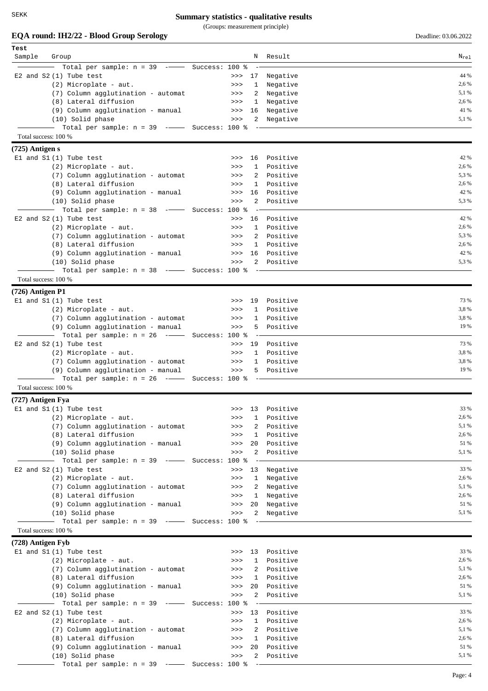(Groups: measurement principle)

| Test                 |                                                                          |                |                       |            |           |
|----------------------|--------------------------------------------------------------------------|----------------|-----------------------|------------|-----------|
| Sample               | Group                                                                    |                |                       | N Result   | $N_{re1}$ |
|                      | Total per sample: $n = 39$ --                                            | Success: 100 % |                       |            |           |
|                      | $E2$ and $S2(1)$ Tube test                                               |                | >>> 17                | Negative   | 44 %      |
|                      | (2) Microplate - aut.                                                    |                | >><br>1               | Negative   | 2,6 %     |
|                      | (7) Column agglutination - automat                                       |                | 2<br>>>               | Negative   | 5,1 %     |
|                      | (8) Lateral diffusion                                                    |                | $\mathbf{1}$<br>>>    | Negative   | 2,6 %     |
|                      | (9) Column agglutination - manual                                        |                | $>>>$<br>16           | Negative   | 41 %      |
|                      | (10) Solid phase                                                         |                | 2<br>>>               | Negative   | 5,1 %     |
|                      | Total per sample: $n = 39$ -- Success: 100 %                             |                |                       |            |           |
| Total success: 100 % |                                                                          |                |                       |            |           |
|                      |                                                                          |                |                       |            |           |
| $(725)$ Antigen s    |                                                                          |                |                       |            |           |
|                      | $E1$ and $S1(1)$ Tube test                                               |                | 16<br>>>              | Positive   | 42 %      |
|                      | (2) Microplate - aut.                                                    |                | 1<br>>>               | Positive   | 2,6 %     |
|                      | (7) Column agglutination - automat                                       |                | 2<br>>>               | Positive   | 5,3 %     |
|                      | (8) Lateral diffusion                                                    |                | $\mathbf{1}$<br>>>    | Positive   | 2,6 %     |
|                      | (9) Column agglutination - manual                                        |                | 16<br>>>              | Positive   | 42 %      |
|                      | (10) Solid phase                                                         |                | 2<br>>>               | Positive   | 5.3%      |
|                      | Total per sample: $n = 38$ --                                            | Success: 100 % |                       |            |           |
|                      | E2 and S2 (1) Tube test                                                  |                | 16<br>>>              | Positive   | 42 %      |
|                      | (2) Microplate - aut.                                                    |                | $\mathbf{1}$<br>>>    | Positive   | 2,6 %     |
|                      | (7) Column agglutination - automat                                       |                | 2<br>>>               | Positive   | 5,3 %     |
|                      | (8) Lateral diffusion                                                    |                | $\mathbf{1}$<br>>>    | Positive   | 2,6 %     |
|                      | (9) Column agglutination - manual                                        |                | $>>$ 16               | Positive   | 42 %      |
|                      | (10) Solid phase                                                         |                | $\overline{2}$<br>>>  | Positive   | 5,3%      |
|                      | Total per sample: $n = 38$ -- Success: 100 %                             |                |                       |            |           |
| Total success: 100 % |                                                                          |                |                       |            |           |
| $(726)$ Antigen P1   |                                                                          |                |                       |            |           |
|                      |                                                                          |                | 19<br>>>              | Positive   | 73 %      |
|                      | $E1$ and $S1(1)$ Tube test                                               |                |                       |            | 3,8%      |
|                      | (2) Microplate - aut.                                                    |                | $\mathbf{1}$<br>>>    | Positive   | 3,8%      |
|                      | (7) Column agglutination - automat                                       |                | 1<br>>>               | Positive   | 19 %      |
|                      | (9) Column agglutination - manual                                        |                | 5<br>>>               | Positive   |           |
|                      | Total per sample: $n = 26$ -- Success: 100 %<br>$\overline{\phantom{a}}$ |                |                       |            |           |
|                      | E2 and S2 (1) Tube test                                                  |                | 19<br>>>              | Positive   | 73 %      |
|                      | (2) Microplate - aut.                                                    |                | $\mathbf{1}$<br>>>    | Positive   | 3,8%      |
|                      | (7) Column agglutination - automat                                       |                | $>>>$                 | 1 Positive | 3,8%      |
|                      | (9) Column agglutination - manual                                        |                | $>>>$                 | 5 Positive | 19 %      |
|                      | Total per sample: $n = 26$ -- Success: 100 %                             |                |                       |            |           |
| Total success: 100 % |                                                                          |                |                       |            |           |
| (727) Antigen Fya    |                                                                          |                |                       |            |           |
|                      | $E1$ and $S1(1)$ Tube test                                               |                | 13<br>>>              | Positive   | 33 %      |
|                      | (2) Microplate - aut.                                                    |                | 1<br>>>               | Positive   | 2,6 %     |
|                      | (7) Column agglutination - automat                                       |                | 2<br>>>               | Positive   | 5,1 %     |
|                      | (8) Lateral diffusion                                                    |                | 1<br>>>               | Positive   | 2,6 %     |
|                      | (9) Column agglutination - manual                                        |                | 20<br>$>>>$           | Positive   | 51 %      |
|                      | (10) Solid phase                                                         |                | 2<br>>>               | Positive   | 5,1 %     |
|                      | Total per sample: $n = 39$ -                                             | Success: 100 % |                       |            |           |
|                      | E2 and S2 (1) Tube test                                                  |                | >><br>13              | Negative   | 33 %      |
|                      | $(2)$ Microplate - aut.                                                  |                | $\mathbf{1}$<br>>>    | Negative   | 2,6 %     |
|                      | (7) Column agglutination - automat                                       |                | 2<br>$>>>$            | Negative   | 5,1 %     |
|                      | (8) Lateral diffusion                                                    |                | $\mathbf{1}$<br>$>>>$ | Negative   | 2,6 %     |
|                      | (9) Column agglutination - manual                                        |                | 20<br>>>              | Negative   | 51 %      |
|                      | (10) Solid phase                                                         |                | $>>>$<br>$\mathbf{2}$ | Negative   | 5,1 %     |
|                      | Total per sample: $n = 39$ -- Success: 100 %                             |                |                       |            |           |
| Total success: 100 % |                                                                          |                |                       |            |           |
| (728) Antigen Fyb    |                                                                          |                |                       |            |           |
|                      | El and S1 (1) Tube test                                                  |                | 13                    | Positive   | 33 %      |
|                      |                                                                          |                | >>                    |            | 2,6 %     |
|                      | (2) Microplate - aut.                                                    |                | $\mathbf{1}$<br>>>    | Positive   |           |
|                      | (7) Column agglutination - automat                                       |                | 2<br>>>               | Positive   | 5,1 %     |
|                      | (8) Lateral diffusion                                                    |                | $\mathbf{1}$<br>>>    | Positive   | 2,6 %     |
|                      | (9) Column agglutination - manual                                        |                | 20<br>>>              | Positive   | 51 %      |
|                      | (10) Solid phase                                                         |                | 2<br>>>               | Positive   | 5,1 %     |
|                      | Total per sample: $n = 39$ -                                             | Success: 100 % |                       |            |           |
|                      | E2 and $S2(1)$ Tube test                                                 |                | 13<br>>>              | Positive   | 33 %      |
|                      | (2) Microplate - aut.                                                    |                | $\mathbf{1}$<br>>>    | Positive   | 2,6 %     |
|                      | (7) Column agglutination - automat                                       |                | 2<br>$>>>$            | Positive   | 5,1 %     |
|                      | (8) Lateral diffusion                                                    |                | $\mathbf{1}$<br>>>    | Positive   | 2,6 %     |
|                      | (9) Column agglutination - manual                                        |                | 20<br>>>              | Positive   | 51 %      |
|                      | (10) Solid phase                                                         |                | $\mathbf{2}$<br>$>>>$ | Positive   | 5,1 %     |
|                      | Total per sample: $n = 39$ -- Success: 100 %                             |                | $\sim$ $\sim$         |            |           |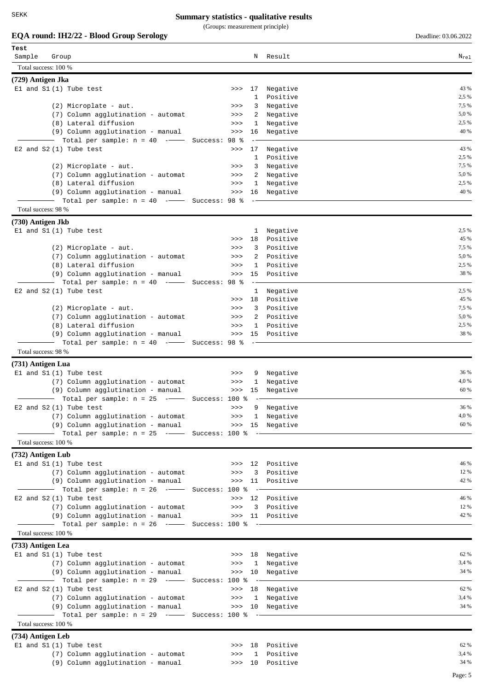(Groups: measurement principle)

| Test                |                                                                                   |               |          |                    |                      |                |
|---------------------|-----------------------------------------------------------------------------------|---------------|----------|--------------------|----------------------|----------------|
| Sample              | Group                                                                             |               |          | Ν                  | Result               | $N_{re1}$      |
|                     | Total success: 100 %                                                              |               |          |                    |                      |                |
|                     |                                                                                   |               |          |                    |                      |                |
| (729) Antigen Jka   | El and S1 (1) Tube test                                                           |               | >>       | 17                 | Negative             | 43 %           |
|                     |                                                                                   |               |          | 1                  | Positive             | 2,5 %          |
|                     | (2) Microplate - aut.                                                             |               | >>       | 3                  | Negative             | 7,5 %          |
|                     | (7) Column agglutination - automat                                                |               | >>       | 2                  | Negative             | 5,0 %          |
|                     | (8) Lateral diffusion                                                             |               | >>       | 1                  | Negative             | 2,5 %          |
|                     | (9) Column agglutination - manual                                                 |               | >>       | 16                 | Negative             | 40 %           |
|                     | Total per sample: $n = 40$ -                                                      | Success: 98 % |          |                    |                      |                |
|                     | E2 and $S2(1)$ Tube test                                                          |               | >>       | 17                 | Negative             | 43 %           |
|                     |                                                                                   |               |          | 1                  | Positive             | 2,5 %          |
|                     | (2) Microplate - aut.                                                             |               | >>       | 3                  | Negative             | 7,5 %          |
|                     | (7) Column agglutination - automat                                                |               | >>       | 2                  | Negative             | 5,0 %          |
|                     | (8) Lateral diffusion                                                             |               | >>       | $\mathbf{1}$       | Negative             | 2,5 %          |
|                     | (9) Column agglutination - manual                                                 |               | >>       | 16                 | Negative             | 40 %           |
|                     | Total per sample: $n = 40$ -- Success: 98 %                                       |               |          |                    |                      |                |
| Total success: 98 % |                                                                                   |               |          |                    |                      |                |
| (730) Antigen Jkb   |                                                                                   |               |          |                    |                      |                |
|                     | $E1$ and $S1(1)$ Tube test                                                        |               |          | 1                  | Negative             | 2,5 %          |
|                     |                                                                                   |               | >>       | 18                 | Positive             | 45 %           |
|                     | (2) Microplate - aut.                                                             |               | >>       | 3                  | Positive             | 7,5 %          |
|                     | (7) Column agglutination - automat                                                |               | >>       | 2                  | Positive             | 5,0 %          |
|                     | (8) Lateral diffusion                                                             |               | >>       | 1                  | Positive             | 2,5 %          |
|                     | (9) Column agglutination - manual                                                 |               | >>       | 15                 | Positive             | 38 %           |
|                     | Total per sample: $n = 40$ -                                                      | Success: 98 % |          |                    |                      |                |
|                     | E2 and $S2(1)$ Tube test                                                          |               |          | $\mathbf{1}$       | Negative             | 2,5 %          |
|                     |                                                                                   |               | >>       | 18                 | Positive             | 45 %           |
|                     | (2) Microplate - aut.                                                             |               | >>       | 3                  | Positive             | 7,5 %          |
|                     | (7) Column agglutination - automat                                                |               | >>       | 2                  | Positive             | 5,0 %<br>2,5 % |
|                     | (8) Lateral diffusion                                                             |               | >>       | $\mathbf{1}$<br>15 | Positive<br>Positive | 38 %           |
|                     | (9) Column agglutination - manual<br>Total per sample: $n = 40$ -- Success: 98 %  |               | >>       |                    |                      |                |
| Total success: 98 % |                                                                                   |               |          |                    |                      |                |
|                     |                                                                                   |               |          |                    |                      |                |
| (731) Antigen Lua   |                                                                                   |               |          |                    |                      |                |
|                     | $E1$ and $S1(1)$ Tube test                                                        |               | >>       | 9                  | Negative             | 36 %           |
|                     | (7) Column agglutination - automat                                                |               | >>       | $\mathbf{1}$       | Negative             | 4,0 %<br>60 %  |
|                     | (9) Column agglutination - manual<br>Total per sample: $n = 25$ -- Success: 100 % |               | >>       | 15                 | Negative             |                |
|                     | E2 and S2(1) Tube test                                                            |               | >>       | 9                  | Negative             | 36 %           |
|                     | (7) Column agglutination - automat                                                |               |          |                    | >>> 1 Negative       | 4,0 %          |
|                     | (9) Column agglutination - manual                                                 |               |          |                    | >>> 15 Negative      | 60 %           |
|                     | Total per sample: $n = 25$ -- Success: 100 % --                                   |               |          |                    |                      |                |
|                     | Total success: 100 %                                                              |               |          |                    |                      |                |
| (732) Antigen Lub   |                                                                                   |               |          |                    |                      |                |
|                     | $E1$ and $S1(1)$ Tube test                                                        |               |          |                    | >>> 12 Positive      | 46 %           |
|                     | (7) Column agglutination - automat                                                |               | >>       | 3                  | Positive             | 12 %           |
|                     | (9) Column agglutination - manual                                                 |               | >>       |                    | 11 Positive          | 42 %           |
|                     | - Total per sample: n = 26 --- Success: 100 %                                     |               |          | $- \, -$           |                      |                |
|                     | E2 and S2 (1) Tube test                                                           |               | >>       |                    | 12 Positive          | 46 %           |
|                     | (7) Column agglutination - automat                                                |               | >>       |                    | 3 Positive           | 12 %           |
|                     | (9) Column agglutination - manual                                                 |               |          |                    | >>> 11 Positive      | 42 %           |
|                     | Total per sample: $n = 26$ ---- Success: 100 % --                                 |               |          |                    |                      |                |
|                     | Total success: 100 %                                                              |               |          |                    |                      |                |
| (733) Antigen Lea   |                                                                                   |               |          |                    |                      |                |
|                     | $E1$ and $S1(1)$ Tube test                                                        |               |          |                    | >>> 18 Negative      | 62 %           |
|                     | (7) Column agglutination - automat                                                |               | >>       |                    | 1 Negative           | 3,4 %          |
|                     | (9) Column agglutination - manual                                                 |               | $\gg$ 10 |                    | Negative             | 34 %           |
|                     | -- Total per sample: n = 29 --- Success: 100 %                                    |               |          |                    |                      |                |
|                     | E2 and $S2(1)$ Tube test                                                          |               | >> 18    |                    | Negative             | 62 %           |
|                     | (7) Column agglutination - automat                                                |               | $>>>$    |                    | 1 Negative           | 3,4 %          |
|                     | (9) Column agglutination - manual                                                 |               |          |                    | >>> 10 Negative      | 34 %           |
|                     | Total per sample: n = 29 -- Success: 100 % --                                     |               |          |                    |                      |                |
|                     | Total success: 100 %                                                              |               |          |                    |                      |                |
| (734) Antigen Leb   |                                                                                   |               |          |                    |                      |                |
|                     | El and S1 (1) Tube test                                                           |               | >>       | 18                 | Positive             | 62 %           |
|                     | (7) Column agglutination - automat                                                |               | >>       | $\mathbf{1}$       | Positive             | 3,4 %          |
|                     | (9) Column agglutination - manual                                                 |               |          |                    | >>> 10 Positive      | 34 %           |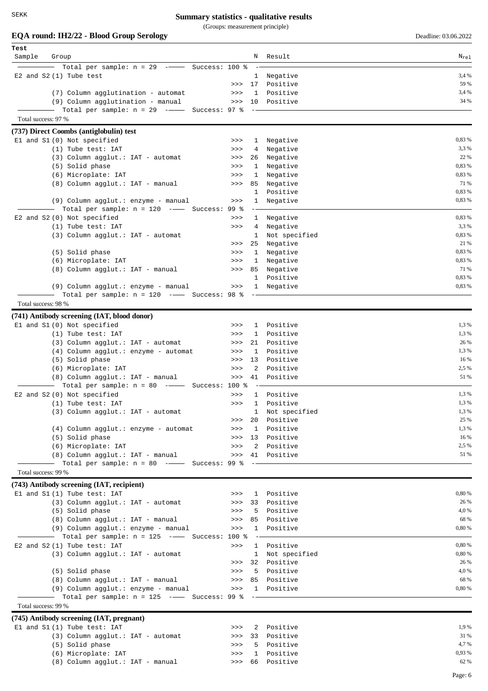(Groups: measurement principle)

| Test                |                                               |       |              |               |           |
|---------------------|-----------------------------------------------|-------|--------------|---------------|-----------|
| Sample              | Group                                         |       | N            | Result        | $N_{rel}$ |
|                     | Total per sample: $n = 29$ -- Success: 100 %  |       |              |               |           |
|                     | E2 and $S2(1)$ Tube test                      |       | $\mathbf{1}$ | Negative      | 3.4 %     |
|                     |                                               | >>    | 17           | Positive      | 59 %      |
|                     | (7) Column agglutination - automat            | $>>>$ | $\mathbf{1}$ | Positive      | 3,4 %     |
|                     | (9) Column agglutination - manual             | $>>>$ | 10           | Positive      | 34 %      |
|                     | Total per sample: $n = 29$ -- Success: 97 %   |       |              |               |           |
| Total success: 97 % |                                               |       |              |               |           |
|                     |                                               |       |              |               |           |
|                     | (737) Direct Coombs (antiglobulin) test       |       |              |               |           |
|                     | El and S1 (0) Not specified                   | >>    | 1            | Negative      | 0,83 %    |
|                     | (1) Tube test: IAT                            | >>    | 4            | Negative      | 3,3 %     |
|                     | (3) Column agglut.: IAT - automat             | >>    | 26           | Negative      | 22 %      |
|                     | (5) Solid phase                               | >>>   | 1            | Negative      | 0,83 %    |
|                     | (6) Microplate: IAT                           | >>    | 1            | Negative      | 0,83 %    |
|                     | (8) Column agglut.: IAT - manual              | >>>   | 85           | Negative      | 71 %      |
|                     |                                               |       | 1            | Positive      | 0,83 %    |
|                     | (9) Column agglut.: enzyme - manual           | >>    | $\mathbf{1}$ | Negative      | 0,83 %    |
|                     | Total per sample: $n = 120$ -- Success: 99 %  |       |              |               |           |
|                     | E2 and S2 (0) Not specified                   | >>    | $\mathbf{1}$ | Negative      | 0,83 %    |
|                     | (1) Tube test: IAT                            | >>    | 4            | Negative      | 3,3 %     |
|                     | (3) Column agglut.: IAT - automat             |       | 1            | Not specified | 0,83 %    |
|                     |                                               | >>    | 25           | Negative      | 21 %      |
|                     | (5) Solid phase                               | >>    | $\mathbf{1}$ | Negative      | 0,83 %    |
|                     | (6) Microplate: IAT                           | >>    | 1            | Negative      | 0,83 %    |
|                     | (8) Column agglut.: IAT - manual              | >>    | 85           | Negative      | 71 %      |
|                     |                                               |       | $\mathbf{1}$ | Positive      | 0,83 %    |
|                     | (9) Column agglut.: enzyme - manual           | $>>>$ | $\mathbf{1}$ | Negative      | 0,83 %    |
|                     | Total per sample: $n = 120$ -- Success: 98 %  |       |              |               |           |
| Total success: 98 % |                                               |       |              |               |           |
|                     |                                               |       |              |               |           |
|                     | (741) Antibody screening (IAT, blood donor)   |       |              |               |           |
|                     | El and S1 (0) Not specified                   | >>    | $\mathbf{1}$ | Positive      | 1,3 %     |
|                     | (1) Tube test: IAT                            | >>>   | $\mathbf{1}$ | Positive      | 1,3 %     |
|                     | (3) Column agglut.: IAT - automat             | >>    | 21           | Positive      | 26 %      |
|                     | (4) Column agglut.: enzyme - automat          | >>    | $\mathbf{1}$ | Positive      | 1,3 %     |
|                     | (5) Solid phase                               | >>    | 13           | Positive      | 16 %      |
|                     | (6) Microplate: IAT                           | >>    | 2            | Positive      | 2,5 %     |
|                     | (8) Column agglut.: IAT - manual              | >>    | 41           | Positive      | 51 %      |
|                     | Total per sample: $n = 80$ -- Success: 100 %  |       |              |               |           |
|                     | E2 and S2 (0) Not specified                   | >>    | 1            | Positive      | 1,3 %     |
|                     | $(1)$ Tube test: IAT                          | >>    | $\mathbf{1}$ | Positive      | 1,3%      |
|                     | (3) Column agglut.: IAT - automat             |       | T.           | Not specified | 1,3 %     |
|                     |                                               | >>    | 20           | Positive      | 25 %      |
|                     | (4) Column agglut.: enzyme - automat          | $>>>$ | $\mathbf{1}$ | Positive      | 1,3 %     |
|                     | (5) Solid phase                               | >>>   | 13           | Positive      | 16 %      |
|                     | (6) Microplate: IAT                           | >>    | 2            | Positive      | 2,5 %     |
|                     | (8) Column agglut.: IAT - manual              | $>>>$ |              | 41 Positive   | 51 %      |
|                     | Total per sample: $n = 80$ -- Success: 99 %   |       |              |               |           |
| Total success: 99 % |                                               |       |              |               |           |
|                     |                                               |       |              |               |           |
|                     | (743) Antibody screening (IAT, recipient)     |       |              |               |           |
|                     | El and S1 (1) Tube test: IAT                  | >>    |              | 1 Positive    | 0,80 %    |
|                     | (3) Column agglut.: IAT - automat             | $>>>$ | 33           | Positive      | 26 %      |
|                     | (5) Solid phase                               | >>    | 5            | Positive      | 4,0%      |
|                     | (8) Column agglut.: IAT - manual              | >>    | 85           | Positive      | 68 %      |
|                     | (9) Column agglut.: enzyme - manual           | $>>>$ | 1            | Positive      | 0,80 %    |
|                     | Total per sample: $n = 125$ -- Success: 100 % |       |              |               |           |
|                     | E2 and S2 (1) Tube test: IAT                  | >>    |              | 1 Positive    | 0,80 %    |
|                     | (3) Column agglut.: IAT - automat             |       | $\mathbf{1}$ | Not specified | 0,80 %    |
|                     |                                               | >>    | 32           | Positive      | 26 %      |
|                     | (5) Solid phase                               | >>    | 5            | Positive      | 4,0%      |
|                     | (8) Column agglut.: IAT - manual              | >>>   | 85           | Positive      | 68 %      |
|                     | (9) Column agglut.: enzyme - manual           | $>>>$ |              | 1 Positive    | 0,80 %    |
|                     | Total per sample: $n = 125$ -- Success: 99 %  |       |              |               |           |
| Total success: 99 % |                                               |       |              |               |           |
|                     | (745) Antibody screening (IAT, pregnant)      |       |              |               |           |
|                     | El and S1 (1) Tube test: IAT                  | >>    |              | 2 Positive    | 1,9 %     |
|                     | (3) Column agglut.: IAT - automat             | $>>>$ | 33           | Positive      | 31 %      |
|                     | (5) Solid phase                               | >>    | 5            | Positive      | 4,7 %     |
|                     | (6) Microplate: IAT                           | >>>   | 1            | Positive      | 0,93 %    |
|                     | (8) Column agglut.: IAT - manual              | >>    |              | 66 Positive   | 62 %      |
|                     |                                               |       |              |               |           |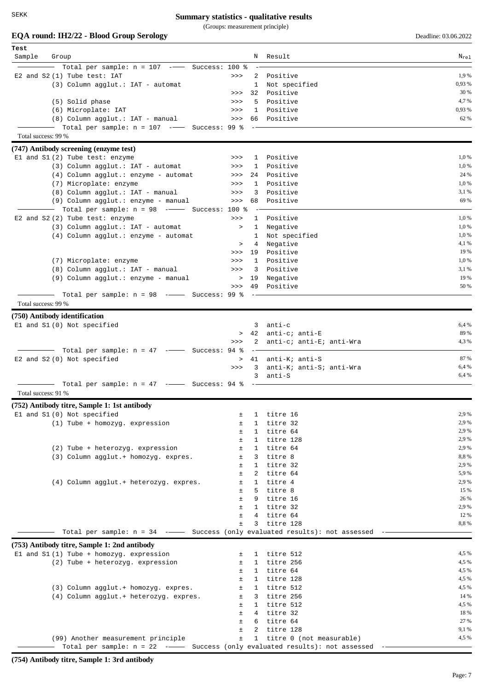SEKK

## **Summary statistics - qualitative results**

(Groups: measurement principle)

**EQA round: IH2/22 - Blood Group Serology** Deadline: 03.06.2022

| Test                |                                                                                                                    |              |                |                                                 |                |
|---------------------|--------------------------------------------------------------------------------------------------------------------|--------------|----------------|-------------------------------------------------|----------------|
| Sample              | Group                                                                                                              |              |                | N Result                                        | $N_{re1}$      |
|                     | Total per sample: $n = 107$ - Success: 100 %                                                                       |              |                |                                                 |                |
|                     | E2 and S2 (1) Tube test: IAT                                                                                       | >>           |                | 2 Positive                                      | 1,9%           |
|                     | (3) Column agglut.: IAT - automat                                                                                  |              | $\mathbf{1}$   | Not specified                                   | 0,93 %         |
|                     |                                                                                                                    | >>           | 32             | Positive                                        | 30 %           |
|                     | (5) Solid phase                                                                                                    | >>           | 5              | Positive                                        | 4,7%           |
|                     | (6) Microplate: IAT                                                                                                | >>           | $\mathbf{1}$   | Positive                                        | 0,93 %         |
|                     | (8) Column agglut.: IAT - manual                                                                                   | >>           | 66 -           | Positive                                        | 62 %           |
|                     | - Total per sample: n = 107 --- Success: 99 %                                                                      |              |                |                                                 |                |
| Total success: 99 % |                                                                                                                    |              |                |                                                 |                |
|                     | (747) Antibody screening (enzyme test)                                                                             |              |                |                                                 |                |
|                     | El and S1 (2) Tube test: enzyme                                                                                    | >>           |                | 1 Positive                                      | 1,0 %          |
|                     | $(3)$ Column agglut.: IAT - automat                                                                                | >>           |                | 1 Positive                                      | 1,0%           |
|                     | (4) Column agglut.: enzyme - automat                                                                               | $>>>$        | 24             | Positive                                        | 24 %           |
|                     | (7) Microplate: enzyme                                                                                             | >>           | $\mathbf{1}$   | Positive                                        | 1,0 %          |
|                     | (8) Column agglut.: IAT - manual                                                                                   | >>           | 3              | Positive                                        | 3,1 %          |
|                     | (9) Column agglut.: enzyme - manual                                                                                | $>>>$        | 68             | Positive                                        | 69 %           |
|                     | - Total per sample: $n = 98$ --- Success: 100 %                                                                    |              |                |                                                 |                |
|                     | E2 and S2 (2) Tube test: enzyme                                                                                    | >>           | $\mathbf{1}$   | Positive                                        | 1,0 %          |
|                     | (3) Column agglut.: IAT - automat                                                                                  | $\geq$       | $\mathbf{1}$   | Negative                                        | 1,0%           |
|                     | (4) Column agglut.: enzyme - automat                                                                               |              | $\mathbf{1}$   | Not specified                                   | 1,0%           |
|                     |                                                                                                                    | $\geq$<br>>> | 4<br>19        | Negative<br>Positive                            | 4,1 %<br>19 %  |
|                     | (7) Microplate: enzyme                                                                                             | >>           | $\mathbf{1}$   | Positive                                        | 1,0 %          |
|                     | (8) Column agglut.: IAT - manual                                                                                   | >>           |                | 3 Positive                                      | 3,1 %          |
|                     | (9) Column agglut.: enzyme - manual                                                                                |              | > 19           | Negative                                        | 19 %           |
|                     |                                                                                                                    | >>           |                | 49 Positive                                     | 50 %           |
|                     | Total per sample: $n = 98$ --- Success: 99 %                                                                       |              |                |                                                 |                |
| Total success: 99 % |                                                                                                                    |              |                |                                                 |                |
|                     |                                                                                                                    |              |                |                                                 |                |
|                     | (750) Antibody identification                                                                                      |              |                |                                                 |                |
|                     | El and S1 (0) Not specified                                                                                        |              |                | $3$ anti-c                                      | 6,4 %<br>89 %  |
|                     |                                                                                                                    | $\geq$<br>>> |                | 42 anti-c; anti-E<br>2 anti-c; anti-E; anti-Wra | 4,3 %          |
|                     | — Total per sample: n = 47 ------ Success: 94 %                                                                    |              |                |                                                 |                |
|                     | E2 and S2 (0) Not specified                                                                                        | $\geq$       |                | 41 anti-K; anti-S                               | 87 %           |
|                     |                                                                                                                    | >>           | 3 <sup>7</sup> | anti-K; anti-S; anti-Wra                        | 6,4 %          |
|                     |                                                                                                                    |              | 3              | $anti-S$                                        | 6,4 %          |
|                     | $\blacksquare$ Total per sample: $n = 47$ $\blacksquare$ Success: 94 %                                             |              |                |                                                 |                |
| Total success: 91 % |                                                                                                                    |              |                |                                                 |                |
|                     | (752) Antibody titre, Sample 1: 1st antibody                                                                       |              |                |                                                 |                |
|                     | El and S1 (0) Not specified                                                                                        | ±            | 1              | titre 16                                        | 2,9%           |
|                     | $(1)$ Tube + homozyg. expression                                                                                   | Ŧ            | $\mathbf{1}$   | titre 32                                        | 2,9%           |
|                     |                                                                                                                    | $\pm$        |                | 1 titre 64                                      | 2,9%           |
|                     |                                                                                                                    | $\pm$        | 1              | titre 128                                       | 2,9%           |
|                     | (2) Tube + heterozyg. expression                                                                                   | $\pm$        |                | 1 titre 64                                      | 2,9 %          |
|                     | (3) Column agglut.+ homozyg. expres.                                                                               | $\pm$        |                | 3 titre 8                                       | 8,8%           |
|                     |                                                                                                                    | Ŧ.           |                | 1 titre 32                                      | 2,9 %          |
|                     |                                                                                                                    | Ŧ            | $2^{\circ}$    | titre 64                                        | 5,9%           |
|                     | (4) Column agglut.+ heterozyg. expres.                                                                             | ±            |                | 1 titre 4                                       | 2,9 %          |
|                     |                                                                                                                    | Ŧ            |                | 5 titre 8                                       | 15 %           |
|                     |                                                                                                                    | $\pm$        | 9              | titre 16                                        | 26 %           |
|                     |                                                                                                                    | Ŧ            |                | 1 titre 32                                      | 2,9 %          |
|                     |                                                                                                                    | $\pm$        |                | 4 titre 64                                      | 12 %           |
|                     |                                                                                                                    | Ŧ.           | 3              | titre 128                                       | 8,8%           |
|                     | Total per sample: n = 34 -- Success (only evaluated results): not assessed                                         |              |                |                                                 |                |
|                     | (753) Antibody titre, Sample 1: 2nd antibody                                                                       |              |                |                                                 |                |
|                     | El and S1 (1) Tube + homozyg. expression                                                                           | 土            |                | 1 titre 512                                     | 4,5 %          |
|                     | (2) Tube + heterozyg. expression                                                                                   | $\pm$        |                | 1 titre 256                                     | 4,5 %          |
|                     |                                                                                                                    | $\pm$        |                | 1 titre 64                                      | 4,5 %          |
|                     |                                                                                                                    | $\pm$        |                | 1 titre 128                                     | 4,5 %          |
|                     | (3) Column agglut.+ homozyg. expres.                                                                               | $\pm$        |                | 1 titre 512                                     | 4,5 %          |
|                     | (4) Column agglut.+ heterozyg. expres.                                                                             | $\pm$        | 3              | titre 256                                       | 14 %           |
|                     |                                                                                                                    | Ŧ.           |                | 1 titre 512                                     | 4,5 %          |
|                     |                                                                                                                    | $\pm$        |                | 4 titre 32                                      | 18 %           |
|                     |                                                                                                                    | ±            |                | 6 titre 64                                      | 27 %           |
|                     |                                                                                                                    | ±            |                | 2 titre 128                                     | 9,1 %<br>4,5 % |
|                     | (99) Another measurement principle<br>Total per sample: $n = 22$ -- Success (only evaluated results): not assessed | $\pm$        |                | 1 titre 0 (not measurable)                      |                |
|                     |                                                                                                                    |              |                |                                                 |                |

**(754) Antibody titre, Sample 1: 3rd antibody**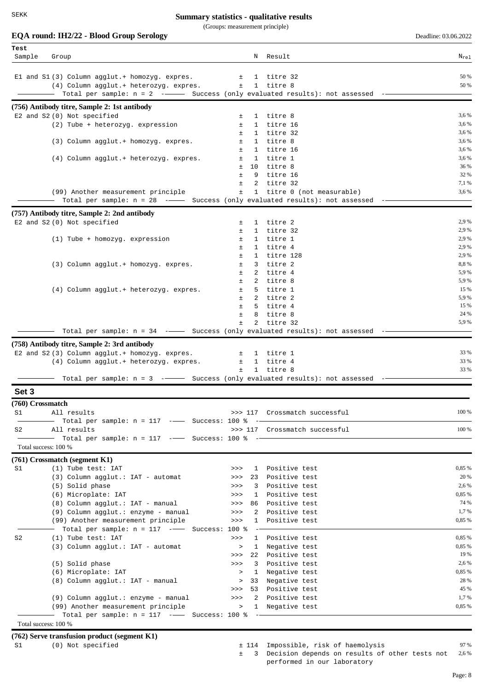(Groups: measurement principle)

|                      | EQA round: IH2/22 - Blood Group Serology                                                       |              |                              |                                      | Deadline: 03.06.2022 |
|----------------------|------------------------------------------------------------------------------------------------|--------------|------------------------------|--------------------------------------|----------------------|
| Test                 |                                                                                                |              |                              |                                      |                      |
| Sample               | Group                                                                                          |              |                              | N Result                             | $N_{re1}$            |
|                      |                                                                                                |              |                              |                                      | 50 %                 |
|                      | El and S1 (3) Column agglut.+ homozyg. expres.<br>(4) Column agglut.+ heterozyg. expres.       | 土<br>$\pm$   |                              | 1 titre 32<br>1 titre 8              | 50 %                 |
|                      | Total per sample: $n = 2$ - Success (only evaluated results): not assessed                     |              |                              |                                      |                      |
|                      | (756) Antibody titre, Sample 2: 1st antibody                                                   |              |                              |                                      |                      |
|                      | E2 and S2 (0) Not specified                                                                    | ±            |                              | 1 titre 8                            | 3,6 %                |
|                      | (2) Tube + heterozyg. expression                                                               | $\pm$        | $\mathbf{1}$                 | titre 16                             | 3,6 %                |
|                      |                                                                                                | $\pm$        | $\mathbf{1}$                 | titre 32                             | 3,6 %                |
|                      | (3) Column agglut.+ homozyg. expres.                                                           | ±.           | $\mathbf{1}$                 | titre 8                              | 3,6 %                |
|                      |                                                                                                | ±.<br>±      | 1                            | titre 16<br>1 titre 1                | 3,6 %<br>3,6 %       |
|                      | (4) Column agglut.+ heterozyg. expres.                                                         | $\pm$        | 10                           | titre 8                              | 36 %                 |
|                      |                                                                                                | $\pm$        | 9                            | titre 16                             | 32 %                 |
|                      |                                                                                                | $\pm$        | 2                            | titre 32                             | 7,1 %                |
|                      | (99) Another measurement principle                                                             | ±            |                              | 1 titre 0 (not measurable)           | 3,6 %                |
|                      | Total per sample: $n = 28$ --- Success (only evaluated results): not assessed                  |              |                              |                                      |                      |
|                      | (757) Antibody titre, Sample 2: 2nd antibody                                                   |              |                              |                                      |                      |
|                      | E2 and S2 (0) Not specified                                                                    | ±.<br>Ŧ      | $\mathbf{1}$<br>$\mathbf{1}$ | titre 2<br>titre 32                  | 2,9 %<br>2,9 %       |
|                      | $(1)$ Tube + homozyg. expression                                                               | $\pm$        | $\mathbf{1}$                 | titre 1                              | 2,9%                 |
|                      |                                                                                                | $\pm$        | $\mathbf{1}$                 | titre 4                              | 2,9 %                |
|                      |                                                                                                | $\pm$        | 1                            | titre 128                            | 2,9 %                |
|                      | (3) Column agglut.+ homozyg. expres.                                                           | $\pm$        | 3                            | titre 2                              | 8,8%                 |
|                      |                                                                                                | $\pm$<br>Ŧ.  | 2<br>$\overline{2}$          | titre 4<br>titre 8                   | 5,9%<br>5,9 %        |
|                      | (4) Column agglut.+ heterozyg. expres.                                                         | ±.           | $5 -$                        | titre 1                              | 15 %                 |
|                      |                                                                                                | $\pm$        | $2^{\circ}$                  | titre 2                              | 5,9 %                |
|                      |                                                                                                | Ŧ            |                              | 5 titre 4                            | 15 %                 |
|                      |                                                                                                | Ŧ            | 8                            | titre 8                              | 24 %                 |
|                      | Total per sample: $n = 34$ --- Success (only evaluated results): not assessed                  | $\pm$        | $\overline{2}$               | titre 32                             | 5,9 %                |
|                      |                                                                                                |              |                              |                                      |                      |
|                      | (758) Antibody titre, Sample 2: 3rd antibody<br>E2 and S2 (3) Column agglut.+ homozyg. expres. | 土            |                              | 1 titre 1                            | 33 %                 |
|                      | (4) Column agglut.+ heterozyg. expres.                                                         | $\pm$        | $\mathbf{1}$                 | titre 4                              | 33 %                 |
|                      |                                                                                                | ±.           | $\mathbf{1}$                 | titre 8                              | 33 %                 |
|                      | Total per sample: $n = 3$ -- Success (only evaluated results): not assessed                    |              |                              |                                      |                      |
| Set 3                |                                                                                                |              |                              |                                      |                      |
| (760) Crossmatch     |                                                                                                |              |                              |                                      |                      |
| S1                   | All results                                                                                    |              |                              | >>> 117 Crossmatch successful        | 100 %                |
|                      | Total per sample: $n = 117$ -- Success: 100 %                                                  |              |                              |                                      |                      |
| S2                   | All results                                                                                    |              |                              | >>> 117 Crossmatch successful        | 100 %                |
| Total success: 100 % | Total per sample: $n = 117$ -- Success: 100 %                                                  |              |                              |                                      |                      |
|                      |                                                                                                |              |                              |                                      |                      |
| S1                   | $(761)$ Crossmatch (segment K1)<br>(1) Tube test: IAT                                          | >>           |                              | 1 Positive test                      | 0,85 %               |
|                      | (3) Column agglut.: IAT - automat                                                              | $>>>$        | 23                           | Positive test                        | 20 %                 |
|                      | (5) Solid phase                                                                                | >>           | 3                            | Positive test                        | 2,6 %                |
|                      | (6) Microplate: IAT                                                                            | >>           | $\mathbf{1}$                 | Positive test                        | 0,85 %               |
|                      | (8) Column agglut.: IAT - manual                                                               | >>           | 86                           | Positive test                        | 74 %                 |
|                      | (9) Column agglut.: enzyme - manual                                                            | $>>>$        | $2^{\circ}$                  | Positive test                        | 1,7%                 |
|                      | (99) Another measurement principle                                                             | $>>>$        | $\mathbf{1}$                 | Positive test                        | 0,85 %               |
| S2                   | Total per sample: $n = 117$ -- Success: 100 %<br>(1) Tube test: IAT                            | >>           | 1                            | Positive test                        | 0,85 %               |
|                      | (3) Column agglut.: IAT - automat                                                              | $\geq$       | $\mathbf{1}$                 | Negative test                        | 0,85 %               |
|                      |                                                                                                | >>           | 22                           | Positive test                        | 19 %                 |
|                      | (5) Solid phase                                                                                | >>           | 3                            | Positive test                        | 2,6 %                |
|                      | (6) Microplate: IAT                                                                            | $\geq$       |                              | 1 Negative test                      | 0,85 %               |
|                      | (8) Column agglut.: IAT - manual                                                               | $\, >$<br>>> | 53                           | 33 Negative test<br>Positive test    | 28 %<br>45 %         |
|                      | (9) Column agglut.: enzyme - manual                                                            | >>           | $\mathbf{2}$                 | Positive test                        | 1,7 %                |
|                      | (99) Another measurement principle                                                             | >            |                              | 1 Negative test                      | 0,85 %               |
|                      | Total per sample: $n = 117$ -- Success: 100 %                                                  |              |                              |                                      |                      |
| Total success: 100 % |                                                                                                |              |                              |                                      |                      |
|                      | (762) Serve transfusion product (segment K1)                                                   |              |                              |                                      |                      |
| S1                   | (0) Not specified                                                                              |              |                              | ± 114 Impossible, risk of haemolysis | 97 %                 |

Decision depends on results of other tests not ± 3 2,6 % performed in our laboratory